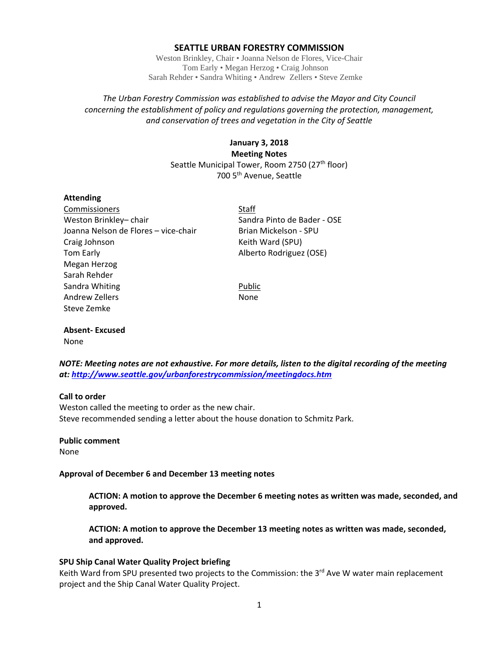## **SEATTLE URBAN FORESTRY COMMISSION**

Weston Brinkley, Chair • Joanna Nelson de Flores, Vice-Chair Tom Early • Megan Herzog • Craig Johnson Sarah Rehder • Sandra Whiting • Andrew Zellers • Steve Zemke

## *The Urban Forestry Commission was established to advise the Mayor and City Council concerning the establishment of policy and regulations governing the protection, management, and conservation of trees and vegetation in the City of Seattle*

## **January 3, 2018 Meeting Notes** Seattle Municipal Tower, Room 2750 (27<sup>th</sup> floor) 700 5<sup>th</sup> Avenue, Seattle

## **Attending**

Commissioners **Commissioners Staff** Weston Brinkley– chair Sandra Pinto de Bader - OSE Joanna Nelson de Flores – vice-chair Brian Mickelson - SPU Craig Johnson **Keith Ward (SPU)** Tom Early **Alberto Rodriguez** (OSE) Megan Herzog Sarah Rehder Sandra Whiting **Public** Public Andrew Zellers None Steve Zemke

# **Absent‐ Excused**

None and the contract of the contract of the contract of the contract of the contract of the contract of the contract of the contract of the contract of the contract of the contract of the contract of the contract of the c

*NOTE: Meeting notes are not exhaustive. For more details, listen to the digital recording of the meeting at: http://www.seattle.gov/urbanforestrycommission/meetingdocs.htm*

## **Call to order**

Weston called the meeting to order as the new chair. Steve recommended sending a letter about the house donation to Schmitz Park.

## **Public comment**

None

## **Approval of December 6 and December 13 meeting notes**

**ACTION: A motion to approve the December 6 meeting notes as written was made, seconded, and approved.** 

**ACTION: A motion to approve the December 13 meeting notes as written was made, seconded, and approved.**

## **SPU Ship Canal Water Quality Project briefing**

Keith Ward from SPU presented two projects to the Commission: the  $3<sup>rd</sup>$  Ave W water main replacement project and the Ship Canal Water Quality Project.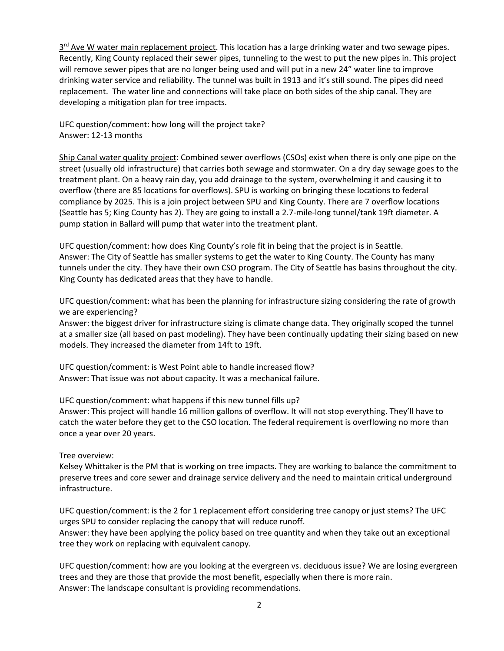$3<sup>rd</sup>$  Ave W water main replacement project. This location has a large drinking water and two sewage pipes. Recently, King County replaced their sewer pipes, tunneling to the west to put the new pipes in. This project will remove sewer pipes that are no longer being used and will put in a new 24" water line to improve drinking water service and reliability. The tunnel was built in 1913 and it's still sound. The pipes did need replacement. The water line and connections will take place on both sides of the ship canal. They are developing a mitigation plan for tree impacts.

UFC question/comment: how long will the project take? Answer: 12‐13 months

Ship Canal water quality project: Combined sewer overflows (CSOs) exist when there is only one pipe on the street (usually old infrastructure) that carries both sewage and stormwater. On a dry day sewage goes to the treatment plant. On a heavy rain day, you add drainage to the system, overwhelming it and causing it to overflow (there are 85 locations for overflows). SPU is working on bringing these locations to federal compliance by 2025. This is a join project between SPU and King County. There are 7 overflow locations (Seattle has 5; King County has 2). They are going to install a 2.7‐mile‐long tunnel/tank 19ft diameter. A pump station in Ballard will pump that water into the treatment plant.

UFC question/comment: how does King County's role fit in being that the project is in Seattle. Answer: The City of Seattle has smaller systems to get the water to King County. The County has many tunnels under the city. They have their own CSO program. The City of Seattle has basins throughout the city. King County has dedicated areas that they have to handle.

UFC question/comment: what has been the planning for infrastructure sizing considering the rate of growth we are experiencing?

Answer: the biggest driver for infrastructure sizing is climate change data. They originally scoped the tunnel at a smaller size (all based on past modeling). They have been continually updating their sizing based on new models. They increased the diameter from 14ft to 19ft.

UFC question/comment: is West Point able to handle increased flow? Answer: That issue was not about capacity. It was a mechanical failure.

UFC question/comment: what happens if this new tunnel fills up? Answer: This project will handle 16 million gallons of overflow. It will not stop everything. They'll have to catch the water before they get to the CSO location. The federal requirement is overflowing no more than once a year over 20 years.

## Tree overview:

Kelsey Whittaker is the PM that is working on tree impacts. They are working to balance the commitment to preserve trees and core sewer and drainage service delivery and the need to maintain critical underground infrastructure.

UFC question/comment: is the 2 for 1 replacement effort considering tree canopy or just stems? The UFC urges SPU to consider replacing the canopy that will reduce runoff.

Answer: they have been applying the policy based on tree quantity and when they take out an exceptional tree they work on replacing with equivalent canopy.

UFC question/comment: how are you looking at the evergreen vs. deciduous issue? We are losing evergreen trees and they are those that provide the most benefit, especially when there is more rain. Answer: The landscape consultant is providing recommendations.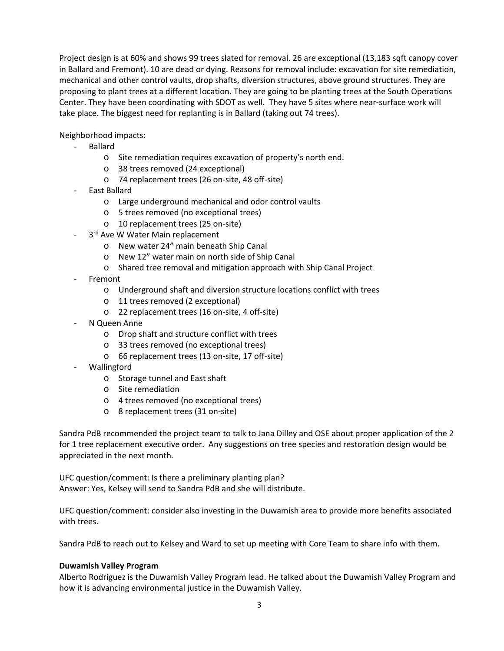Project design is at 60% and shows 99 trees slated for removal. 26 are exceptional (13,183 sqft canopy cover in Ballard and Fremont). 10 are dead or dying. Reasons for removal include: excavation for site remediation, mechanical and other control vaults, drop shafts, diversion structures, above ground structures. They are proposing to plant trees at a different location. They are going to be planting trees at the South Operations Center. They have been coordinating with SDOT as well. They have 5 sites where near‐surface work will take place. The biggest need for replanting is in Ballard (taking out 74 trees).

Neighborhood impacts:

- ‐ Ballard
	- o Site remediation requires excavation of property's north end.
	- o 38 trees removed (24 exceptional)
	- o 74 replacement trees (26 on‐site, 48 off‐site)
- ‐ East Ballard
	- o Large underground mechanical and odor control vaults
	- o 5 trees removed (no exceptional trees)
	- o 10 replacement trees (25 on‐site)
- 3rd Ave W Water Main replacement
	- o New water 24" main beneath Ship Canal
	- o New 12" water main on north side of Ship Canal
	- o Shared tree removal and mitigation approach with Ship Canal Project
- **Fremont** 
	- o Underground shaft and diversion structure locations conflict with trees
	- o 11 trees removed (2 exceptional)
	- o 22 replacement trees (16 on‐site, 4 off‐site)
- ‐ N Queen Anne
	- o Drop shaft and structure conflict with trees
	- o 33 trees removed (no exceptional trees)
	- o 66 replacement trees (13 on‐site, 17 off‐site)
- ‐ Wallingford
	- o Storage tunnel and East shaft
	- o Site remediation
	- o 4 trees removed (no exceptional trees)
	- o 8 replacement trees (31 on‐site)

Sandra PdB recommended the project team to talk to Jana Dilley and OSE about proper application of the 2 for 1 tree replacement executive order. Any suggestions on tree species and restoration design would be appreciated in the next month.

UFC question/comment: Is there a preliminary planting plan? Answer: Yes, Kelsey will send to Sandra PdB and she will distribute.

UFC question/comment: consider also investing in the Duwamish area to provide more benefits associated with trees.

Sandra PdB to reach out to Kelsey and Ward to set up meeting with Core Team to share info with them.

## **Duwamish Valley Program**

Alberto Rodriguez is the Duwamish Valley Program lead. He talked about the Duwamish Valley Program and how it is advancing environmental justice in the Duwamish Valley.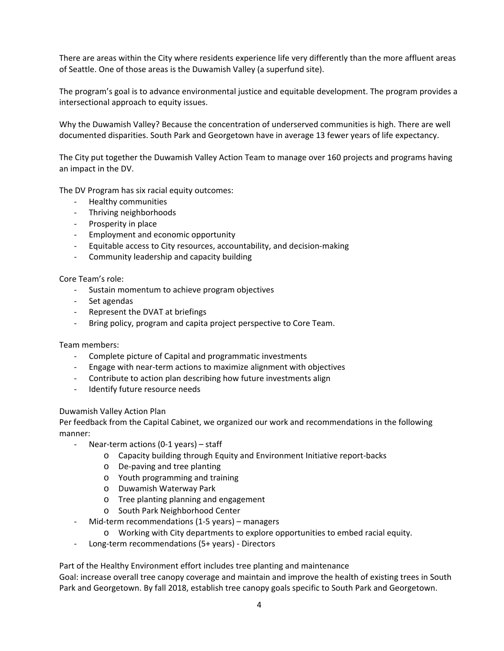There are areas within the City where residents experience life very differently than the more affluent areas of Seattle. One of those areas is the Duwamish Valley (a superfund site).

The program's goal is to advance environmental justice and equitable development. The program provides a intersectional approach to equity issues.

Why the Duwamish Valley? Because the concentration of underserved communities is high. There are well documented disparities. South Park and Georgetown have in average 13 fewer years of life expectancy.

The City put together the Duwamish Valley Action Team to manage over 160 projects and programs having an impact in the DV.

The DV Program has six racial equity outcomes:

- ‐ Healthy communities
- ‐ Thriving neighborhoods
- ‐ Prosperity in place
- ‐ Employment and economic opportunity
- ‐ Equitable access to City resources, accountability, and decision‐making
- ‐ Community leadership and capacity building

## Core Team's role:

- ‐ Sustain momentum to achieve program objectives
- ‐ Set agendas
- ‐ Represent the DVAT at briefings
- ‐ Bring policy, program and capita project perspective to Core Team.

Team members:

- ‐ Complete picture of Capital and programmatic investments
- ‐ Engage with near‐term actions to maximize alignment with objectives
- ‐ Contribute to action plan describing how future investments align
- ‐ Identify future resource needs

## Duwamish Valley Action Plan

Per feedback from the Capital Cabinet, we organized our work and recommendations in the following manner:

- ‐ Near‐term actions (0‐1 years) staff
	- o Capacity building through Equity and Environment Initiative report‐backs
	- o De‐paving and tree planting
	- o Youth programming and training
	- o Duwamish Waterway Park
	- o Tree planting planning and engagement
	- o South Park Neighborhood Center
- Mid-term recommendations (1-5 years) managers
	- o Working with City departments to explore opportunities to embed racial equity.
- ‐ Long‐term recommendations (5+ years) ‐ Directors

Part of the Healthy Environment effort includes tree planting and maintenance

Goal: increase overall tree canopy coverage and maintain and improve the health of existing trees in South Park and Georgetown. By fall 2018, establish tree canopy goals specific to South Park and Georgetown.